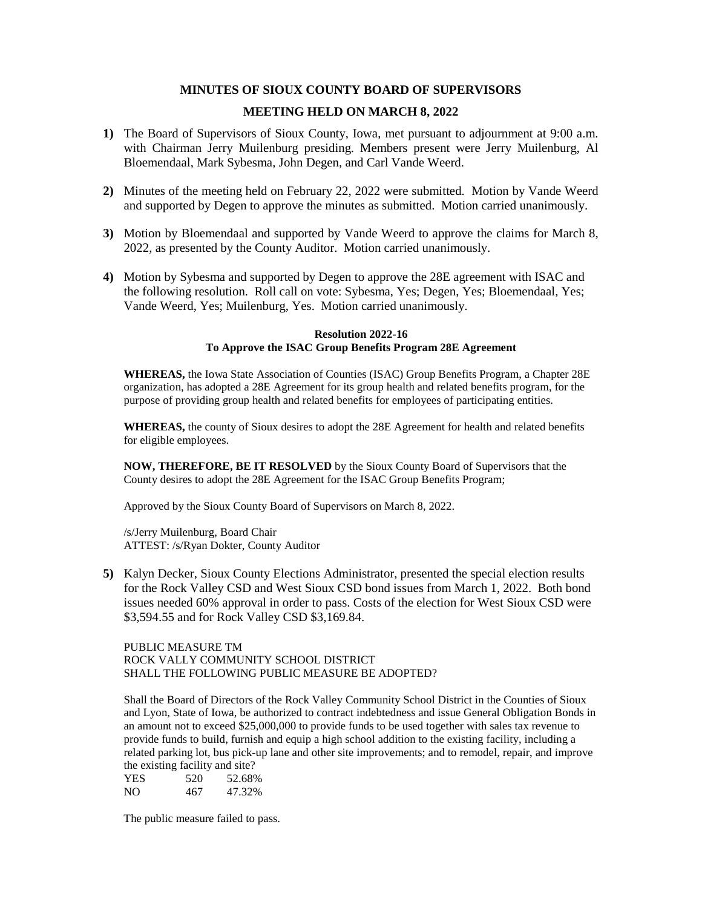## **MINUTES OF SIOUX COUNTY BOARD OF SUPERVISORS**

# **MEETING HELD ON MARCH 8, 2022**

- **1)** The Board of Supervisors of Sioux County, Iowa, met pursuant to adjournment at 9:00 a.m. with Chairman Jerry Muilenburg presiding. Members present were Jerry Muilenburg, Al Bloemendaal, Mark Sybesma, John Degen, and Carl Vande Weerd.
- **2)** Minutes of the meeting held on February 22, 2022 were submitted. Motion by Vande Weerd and supported by Degen to approve the minutes as submitted. Motion carried unanimously.
- **3)** Motion by Bloemendaal and supported by Vande Weerd to approve the claims for March 8, 2022, as presented by the County Auditor. Motion carried unanimously.
- **4)** Motion by Sybesma and supported by Degen to approve the 28E agreement with ISAC and the following resolution. Roll call on vote: Sybesma, Yes; Degen, Yes; Bloemendaal, Yes; Vande Weerd, Yes; Muilenburg, Yes. Motion carried unanimously.

#### **Resolution 2022-16 To Approve the ISAC Group Benefits Program 28E Agreement**

**WHEREAS,** the Iowa State Association of Counties (ISAC) Group Benefits Program, a Chapter 28E organization, has adopted a 28E Agreement for its group health and related benefits program, for the purpose of providing group health and related benefits for employees of participating entities.

**WHEREAS,** the county of Sioux desires to adopt the 28E Agreement for health and related benefits for eligible employees.

**NOW, THEREFORE, BE IT RESOLVED** by the Sioux County Board of Supervisors that the County desires to adopt the 28E Agreement for the ISAC Group Benefits Program;

Approved by the Sioux County Board of Supervisors on March 8, 2022.

/s/Jerry Muilenburg, Board Chair ATTEST: /s/Ryan Dokter, County Auditor

**5)** Kalyn Decker, Sioux County Elections Administrator, presented the special election results for the Rock Valley CSD and West Sioux CSD bond issues from March 1, 2022. Both bond issues needed 60% approval in order to pass. Costs of the election for West Sioux CSD were \$3,594.55 and for Rock Valley CSD \$3,169.84.

PUBLIC MEASURE TM ROCK VALLY COMMUNITY SCHOOL DISTRICT SHALL THE FOLLOWING PUBLIC MEASURE BE ADOPTED?

Shall the Board of Directors of the Rock Valley Community School District in the Counties of Sioux and Lyon, State of Iowa, be authorized to contract indebtedness and issue General Obligation Bonds in an amount not to exceed \$25,000,000 to provide funds to be used together with sales tax revenue to provide funds to build, furnish and equip a high school addition to the existing facility, including a related parking lot, bus pick-up lane and other site improvements; and to remodel, repair, and improve the existing facility and site?

| <b>YES</b> | . .<br>520 | 52.68% |
|------------|------------|--------|
| NO.        | 467        | 47.32% |

The public measure failed to pass.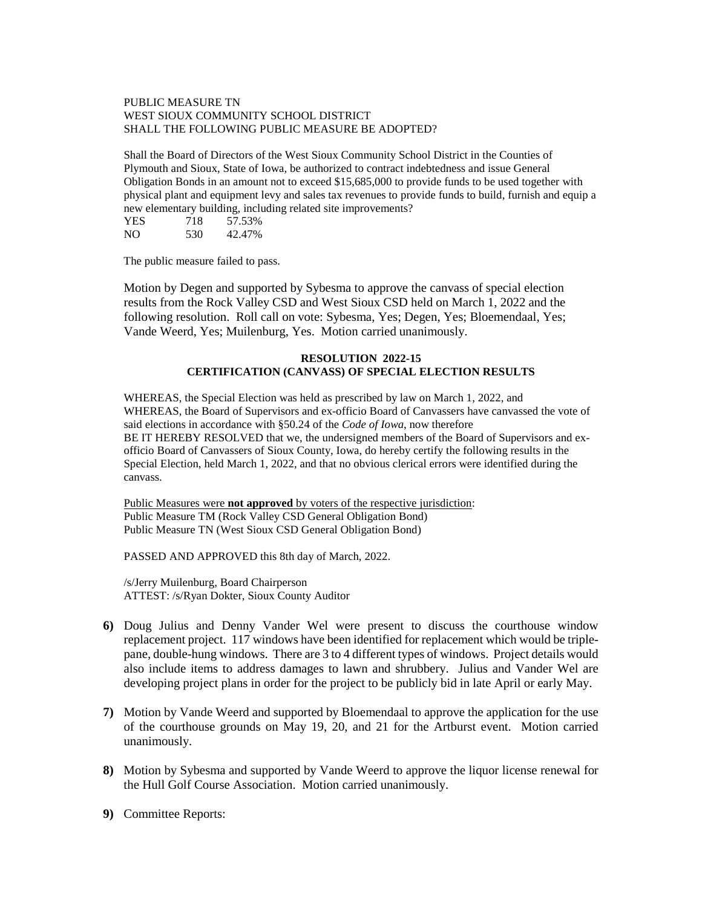#### PUBLIC MEASURE TN WEST SIOUX COMMUNITY SCHOOL DISTRICT SHALL THE FOLLOWING PUBLIC MEASURE BE ADOPTED?

Shall the Board of Directors of the West Sioux Community School District in the Counties of Plymouth and Sioux, State of Iowa, be authorized to contract indebtedness and issue General Obligation Bonds in an amount not to exceed \$15,685,000 to provide funds to be used together with physical plant and equipment levy and sales tax revenues to provide funds to build, furnish and equip a new elementary building, including related site improvements?

| YES | 718 | 57.53% |
|-----|-----|--------|
| NO. | 530 | 42.47% |

The public measure failed to pass.

Motion by Degen and supported by Sybesma to approve the canvass of special election results from the Rock Valley CSD and West Sioux CSD held on March 1, 2022 and the following resolution. Roll call on vote: Sybesma, Yes; Degen, Yes; Bloemendaal, Yes; Vande Weerd, Yes; Muilenburg, Yes. Motion carried unanimously.

### **RESOLUTION 2022-15 CERTIFICATION (CANVASS) OF SPECIAL ELECTION RESULTS**

WHEREAS, the Special Election was held as prescribed by law on March 1, 2022, and WHEREAS, the Board of Supervisors and ex-officio Board of Canvassers have canvassed the vote of said elections in accordance with §50.24 of the *Code of Iowa*, now therefore BE IT HEREBY RESOLVED that we, the undersigned members of the Board of Supervisors and exofficio Board of Canvassers of Sioux County, Iowa, do hereby certify the following results in the Special Election, held March 1, 2022, and that no obvious clerical errors were identified during the canvass.

Public Measures were **not approved** by voters of the respective jurisdiction: Public Measure TM (Rock Valley CSD General Obligation Bond) Public Measure TN (West Sioux CSD General Obligation Bond)

PASSED AND APPROVED this 8th day of March, 2022.

/s/Jerry Muilenburg, Board Chairperson ATTEST: /s/Ryan Dokter, Sioux County Auditor

- **6)** Doug Julius and Denny Vander Wel were present to discuss the courthouse window replacement project. 117 windows have been identified for replacement which would be triplepane, double-hung windows. There are 3 to 4 different types of windows. Project details would also include items to address damages to lawn and shrubbery. Julius and Vander Wel are developing project plans in order for the project to be publicly bid in late April or early May.
- **7)** Motion by Vande Weerd and supported by Bloemendaal to approve the application for the use of the courthouse grounds on May 19, 20, and 21 for the Artburst event. Motion carried unanimously.
- **8)** Motion by Sybesma and supported by Vande Weerd to approve the liquor license renewal for the Hull Golf Course Association. Motion carried unanimously.
- **9)** Committee Reports: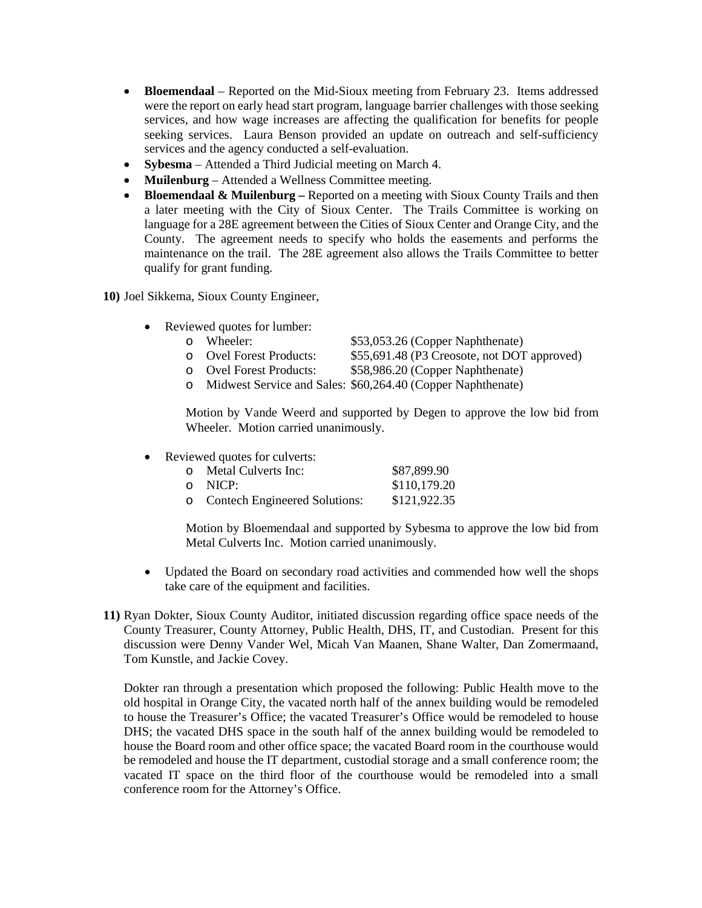- **Bloemendaal** Reported on the Mid-Sioux meeting from February 23. Items addressed were the report on early head start program, language barrier challenges with those seeking services, and how wage increases are affecting the qualification for benefits for people seeking services. Laura Benson provided an update on outreach and self-sufficiency services and the agency conducted a self-evaluation.
- **Sybesma**  Attended a Third Judicial meeting on March 4.
- **Muilenburg** Attended a Wellness Committee meeting.
- **Bloemendaal & Muilenburg –** Reported on a meeting with Sioux County Trails and then a later meeting with the City of Sioux Center. The Trails Committee is working on language for a 28E agreement between the Cities of Sioux Center and Orange City, and the County. The agreement needs to specify who holds the easements and performs the maintenance on the trail. The 28E agreement also allows the Trails Committee to better qualify for grant funding.

**10)** Joel Sikkema, Sioux County Engineer,

- Reviewed quotes for lumber:
	- o Wheeler: \$53,053.26 (Copper Naphthenate)<br>
	o Ovel Forest Products: \$55.691.48 (P3 Creosote, not DOT
	- o Ovel Forest Products: \$55,691.48 (P3 Creosote, not DOT approved)<br>
	o Ovel Forest Products: \$58,986.20 (Copper Naphthenate)
		- \$58,986.20 (Copper Naphthenate)
	- o Midwest Service and Sales: \$60,264.40 (Copper Naphthenate)

Motion by Vande Weerd and supported by Degen to approve the low bid from Wheeler. Motion carried unanimously.

• Reviewed quotes for culverts:

| $\Omega$ | Metal Culverts Inc:             | \$87,899.90  |
|----------|---------------------------------|--------------|
|          | o NICP:                         | \$110,179.20 |
|          | o Contech Engineered Solutions: | \$121,922.35 |

Motion by Bloemendaal and supported by Sybesma to approve the low bid from Metal Culverts Inc. Motion carried unanimously.

- Updated the Board on secondary road activities and commended how well the shops take care of the equipment and facilities.
- **11)** Ryan Dokter, Sioux County Auditor, initiated discussion regarding office space needs of the County Treasurer, County Attorney, Public Health, DHS, IT, and Custodian. Present for this discussion were Denny Vander Wel, Micah Van Maanen, Shane Walter, Dan Zomermaand, Tom Kunstle, and Jackie Covey.

Dokter ran through a presentation which proposed the following: Public Health move to the old hospital in Orange City, the vacated north half of the annex building would be remodeled to house the Treasurer's Office; the vacated Treasurer's Office would be remodeled to house DHS; the vacated DHS space in the south half of the annex building would be remodeled to house the Board room and other office space; the vacated Board room in the courthouse would be remodeled and house the IT department, custodial storage and a small conference room; the vacated IT space on the third floor of the courthouse would be remodeled into a small conference room for the Attorney's Office.